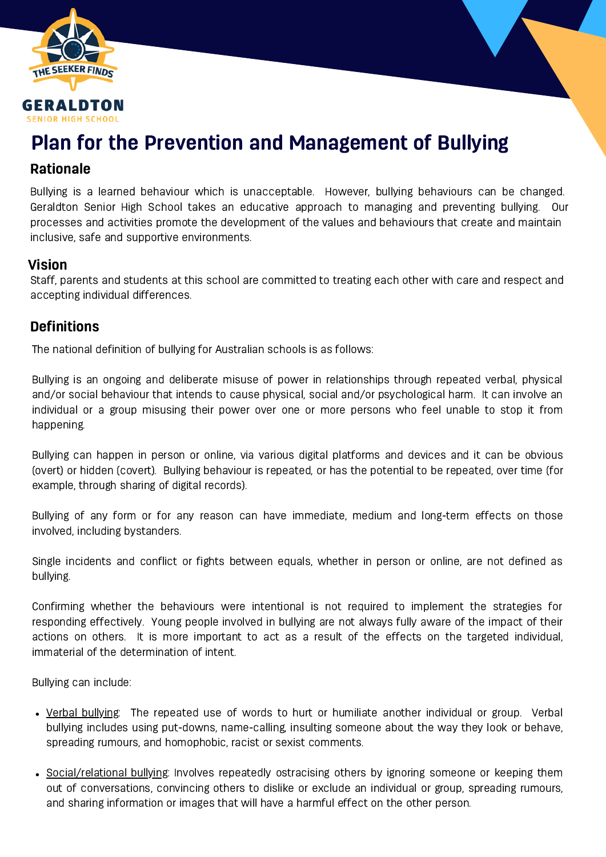

# Plan for the Prevention and Management of Bullying

### Rationale

Bullying is a learned behaviour which is unacceptable. However, bullying behaviours can be changed. Geraldton Senior High School takes an educative approach to managing and preventing bullying. Our processes and activities promote the development of the values and behaviours that create and maintain inclusive, safe and supportive environments.

### Vision

Staff, parents and students at this school are committed to treating each other with care and respect and accepting individual differences.

## **Definitions**

The national definition of bullying for Australian schools is as follows:

Bullying is an ongoing and deliberate misuse of power in relationships through repeated verbal, physical and/or social behaviour that intends to cause physical, social and/or psychological harm. It can involve an individual or a group misusing their power over one or more persons who feel unable to stop it from happening.

Bullying can happen in person or online, via various digital platforms and devices and it can be obvious (overt) or hidden (covert). Bullying behaviour is repeated, or has the potential to be repeated, over time (for example, through sharing of digital records).

Bullying of any form or for any reason can have immediate, medium and long-term effects on those involved, including bystanders.

Single incidents and conflict or fights between equals, whether in person or online, are not defined as bullying.

Confirming whether the behaviours were intentional is not required to implement the strategies for responding effectively. Young people involved in bullying are not always fully aware of the impact of their actions on others. It is more important to act as a result of the effects on the targeted individual, immaterial of the determination of intent.

Bullying can include:

- Verbal bullying: The repeated use of words to hurt or humiliate another individual or group. Verbal bullying includes using put-downs, name-calling, insulting someone about the way they look or behave, spreading rumours, and homophobic, racist or sexist comments.
- Social/relational bullying: Involves repeatedly ostracising others by ignoring someone or keeping them out of conversations, convincing others to dislike or exclude an individual or group, spreading rumours, and sharing information or images that will have a harmful effect on the other person.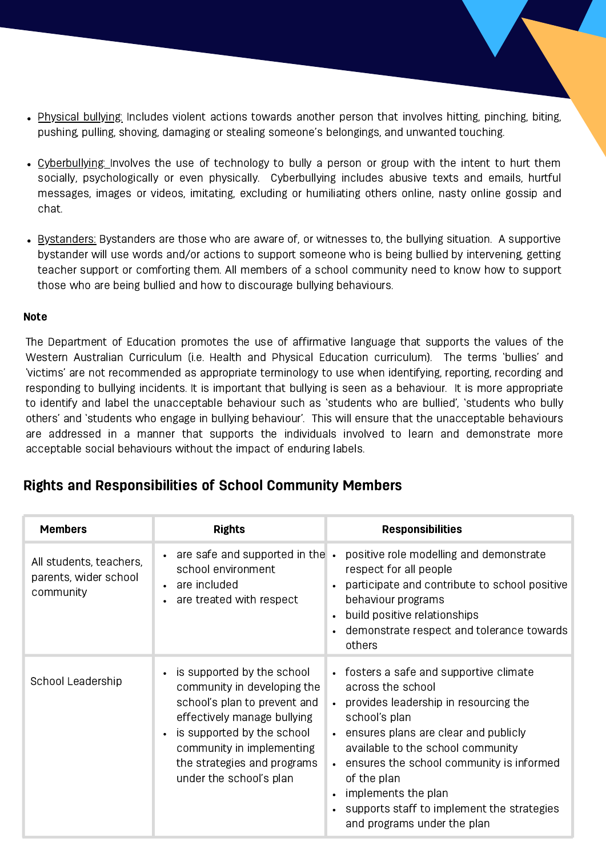- Physical bullying: Includes violent actions towards another person that involves hitting, pinching, biting, pushing, pulling, shoving, damaging or stealing someone's belongings, and unwanted touching.
- Cyberbullying: Involves the use of technology to bully a person or group with the intent to hurt them socially, psychologically or even physically. Cyberbullying includes abusive texts and emails, hurtful messages, images or videos, imitating, excluding or humiliating others online, nasty online gossip and chat.
- Bystanders: Bystanders are those who are aware of, or witnesses to, the bullying situation. A supportive bystander will use words and/or actions to support someone who is being bullied by intervening, getting teacher support or comforting them. All members of a school community need to know how to support those who are being bullied and how to discourage bullying behaviours.

#### Note

The Department of Education promotes the use of affirmative language that supports the values of the Western Australian Curriculum (i.e. Health and Physical Education curriculum). The terms 'bullies' and 'victims' are not recommended as appropriate terminology to use when identifying, reporting, recording and responding to bullying incidents. It is important that bullying is seen as a behaviour. It is more appropriate to identify and label the unacceptable behaviour such as 'students who are bullied', 'students who bully others' and 'students who engage in bullying behaviour'. This will ensure that the unacceptable behaviours are addressed in a manner that supports the individuals involved to learn and demonstrate more acceptable social behaviours without the impact of enduring labels.

# Rights and Responsibilities of School Community Members

| <b>Members</b>                                                | <b>Rights</b>                                                                                                                                                                                                                                              | <b>Responsibilities</b>                                                                                                                                                                                                                                                                                                                                                           |
|---------------------------------------------------------------|------------------------------------------------------------------------------------------------------------------------------------------------------------------------------------------------------------------------------------------------------------|-----------------------------------------------------------------------------------------------------------------------------------------------------------------------------------------------------------------------------------------------------------------------------------------------------------------------------------------------------------------------------------|
| All students, teachers,<br>parents, wider school<br>community | $\cdot$ are safe and supported in the $\cdot$<br>school environment<br>• are included<br>are treated with respect                                                                                                                                          | positive role modelling and demonstrate<br>respect for all people<br>participate and contribute to school positive<br>behaviour programs<br>build positive relationships<br>demonstrate respect and tolerance towards<br>others                                                                                                                                                   |
| School Leadership                                             | is supported by the school<br>community in developing the<br>school's plan to prevent and<br>effectively manage bullying<br>is supported by the school<br>$\bullet$<br>community in implementing<br>the strategies and programs<br>under the school's plan | • fosters a safe and supportive climate<br>across the school<br>provides leadership in resourcing the<br>school's plan<br>• ensures plans are clear and publicly<br>available to the school community<br>ensures the school community is informed<br>$\bullet$<br>of the plan<br>implements the plan<br>supports staff to implement the strategies<br>and programs under the plan |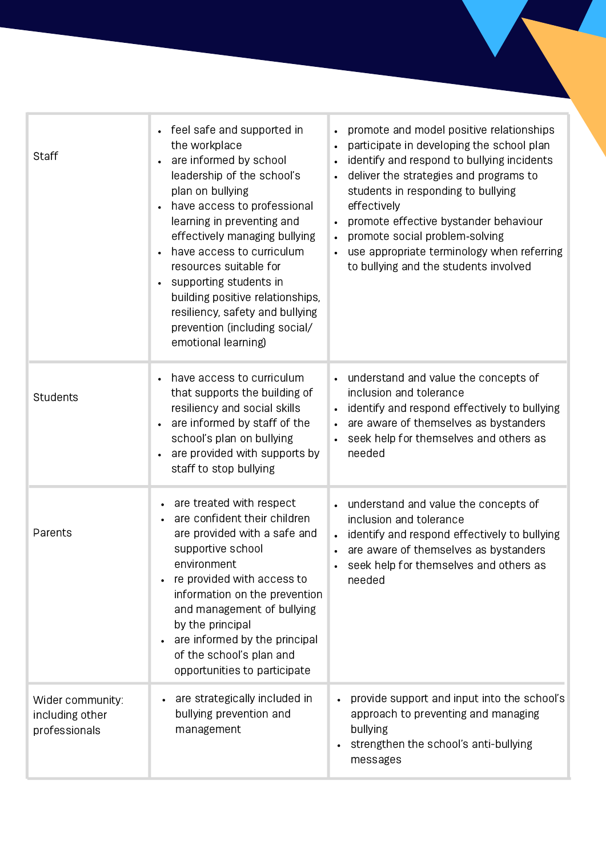| Staff                                                | • feel safe and supported in<br>the workplace<br>are informed by school<br>leadership of the school's<br>plan on bullying<br>have access to professional<br>learning in preventing and<br>effectively managing bullying<br>have access to curriculum<br>resources suitable for<br>supporting students in<br>building positive relationships,<br>resiliency, safety and bullying<br>prevention (including social/<br>emotional learning) | promote and model positive relationships<br>$\bullet$<br>participate in developing the school plan<br>$\bullet$<br>identify and respond to bullying incidents<br>$\bullet$<br>deliver the strategies and programs to<br>$\bullet$<br>students in responding to bullying<br>effectively<br>promote effective bystander behaviour<br>promote social problem-solving<br>$\bullet$<br>use appropriate terminology when referring<br>to bullying and the students involved |
|------------------------------------------------------|-----------------------------------------------------------------------------------------------------------------------------------------------------------------------------------------------------------------------------------------------------------------------------------------------------------------------------------------------------------------------------------------------------------------------------------------|-----------------------------------------------------------------------------------------------------------------------------------------------------------------------------------------------------------------------------------------------------------------------------------------------------------------------------------------------------------------------------------------------------------------------------------------------------------------------|
| Students                                             | have access to curriculum<br>that supports the building of<br>resiliency and social skills<br>are informed by staff of the<br>school's plan on bullying<br>are provided with supports by<br>staff to stop bullying                                                                                                                                                                                                                      | • understand and value the concepts of<br>inclusion and tolerance<br>identify and respond effectively to bullying<br>are aware of themselves as bystanders<br>$\bullet$<br>seek help for themselves and others as<br>needed                                                                                                                                                                                                                                           |
| Parents                                              | are treated with respect<br>$\bullet$<br>are confident their children<br>are provided with a safe and<br>supportive school<br>environment<br>re provided with access to<br>information on the prevention<br>and management of bullying<br>by the principal<br>are informed by the principal<br>$\bullet$<br>of the school's plan and<br>opportunities to participate                                                                    | understand and value the concepts of<br>$\bullet$<br>inclusion and tolerance<br>identify and respond effectively to bullying<br>$\bullet$<br>are aware of themselves as bystanders<br>seek help for themselves and others as<br>$\bullet$<br>needed                                                                                                                                                                                                                   |
| Wider community:<br>including other<br>professionals | are strategically included in<br>bullying prevention and<br>management                                                                                                                                                                                                                                                                                                                                                                  | provide support and input into the school's<br>approach to preventing and managing<br>bullying<br>strengthen the school's anti-bullying<br>messages                                                                                                                                                                                                                                                                                                                   |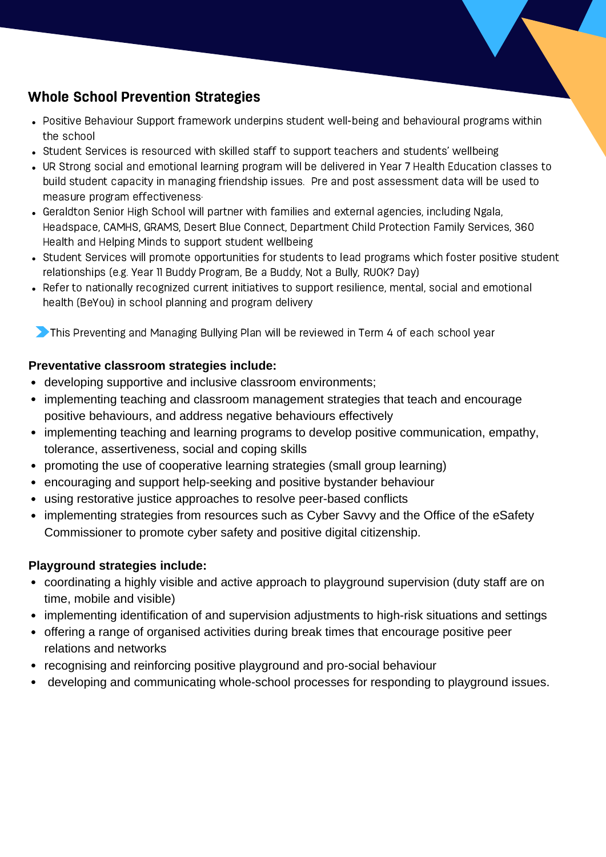# Whole School Prevention Strategies

- Positive Behaviour Support framework underpins student well-being and behavioural programs within the school
- Student Services is resourced with skilled staff to support teachers and students' wellbeing
- UR Strong social and emotional learning program will be delivered in Year 7 Health Education classes to build student capacity in managing friendship issues. Pre and post assessment data will be used to measure program effectiveness·
- Geraldton Senior High School will partner with families and external agencies, including Ngala, Headspace, CAMHS, GRAMS, Desert Blue Connect, Department Child Protection Family Services, 360 Health and Helping Minds to support student wellbeing
- Student Services will promote opportunities for students to lead programs which foster positive student relationships (e.g. Year 11 Buddy Program, Be a Buddy, Not a Bully, RUOK? Day)
- Refer to nationally recognized current initiatives to support resilience, mental, social and emotional health (BeYou) in school planning and program delivery

**This Preventing and Managing Bullying Plan will be reviewed in Term 4 of each school year** 

#### **Preventative classroom strategies include:**

- developing supportive and inclusive classroom environments;
- implementing teaching and classroom management strategies that teach and encourage positive behaviours, and address negative behaviours effectively
- implementing teaching and learning programs to develop positive communication, empathy, tolerance, assertiveness, social and coping skills
- promoting the use of cooperative learning strategies (small group learning)
- encouraging and support help-seeking and positive bystander behaviour
- using restorative justice approaches to resolve peer-based conflicts
- implementing strategies from resources such as Cyber Savvy and the Office of the eSafety Commissioner to promote cyber safety and positive digital citizenship.

#### **Playground strategies include:**

- coordinating a highly visible and active approach to playground supervision (duty staff are on time, mobile and visible)
- implementing identification of and supervision adjustments to high-risk situations and settings
- offering a range of organised activities during break times that encourage positive peer relations and networks
- recognising and reinforcing positive playground and pro-social behaviour
- developing and communicating whole-school processes for responding to playground issues.  $\bullet$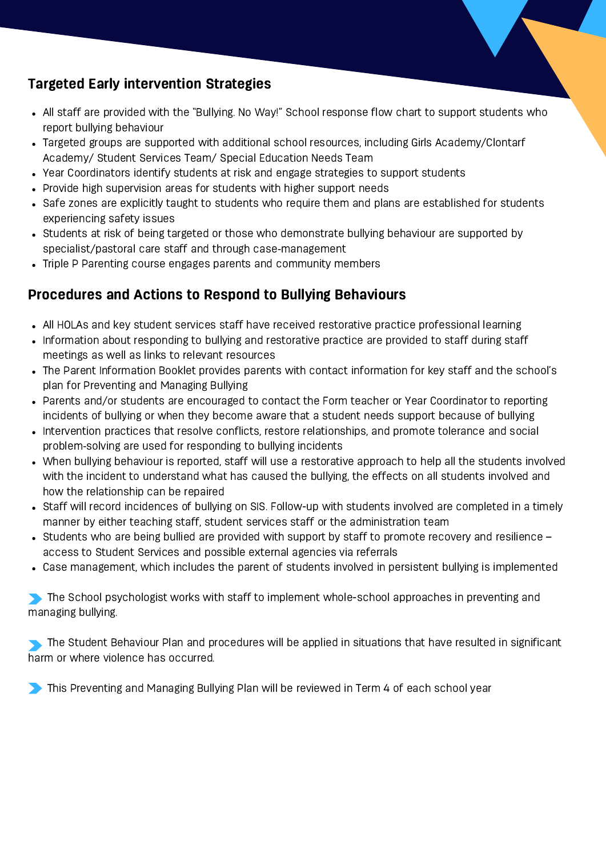# Targeted Early intervention Strategies

- All staff are provided with the "Bullying. No Way!" School response flow chart to support students who report bullying behaviour
- Targeted groups are supported with additional school resources, including Girls Academy/Clontarf Academy/ Student Services Team/ Special Education Needs Team
- Year Coordinators identify students at risk and engage strategies to support students
- Provide high supervision areas for students with higher support needs
- Safe zones are explicitly taught to students who require them and plans are established for students experiencing safety issues
- Students at risk of being targeted or those who demonstrate bullying behaviour are supported by specialist/pastoral care staff and through case-management
- Triple P Parenting course engages parents and community members

# Procedures and Actions to Respond to Bullying Behaviours

- All HOLAs and key student services staff have received restorative practice professional learning
- Information about responding to bullying and restorative practice are provided to staff during staff meetings as well as links to relevant resources
- The Parent Information Booklet provides parents with contact information for key staff and the school's plan for Preventing and Managing Bullying
- Parents and/or students are encouraged to contact the Form teacher or Year Coordinator to reporting incidents of bullying or when they become aware that a student needs support because of bullying
- Intervention practices that resolve conflicts, restore relationships, and promote tolerance and social problem‑solving are used for responding to bullying incidents
- When bullying behaviour is reported, staff will use a restorative approach to help all the students involved with the incident to understand what has caused the bullying, the effects on all students involved and how the relationship can be repaired
- Staff will record incidences of bullying on SIS. Follow-up with students involved are completed in a timely manner by either teaching staff, student services staff or the administration team
- Students who are being bullied are provided with support by staff to promote recovery and resilience access to Student Services and possible external agencies via referrals
- Case management, which includes the parent of students involved in persistent bullying is implemented

The School psychologist works with staff to implement whole-school approaches in preventing and managing bullying.

The Student Behaviour Plan and procedures will be applied in situations that have resulted in significant harm or where violence has occurred.

This Preventing and Managing Bullying Plan will be reviewed in Term 4 of each school year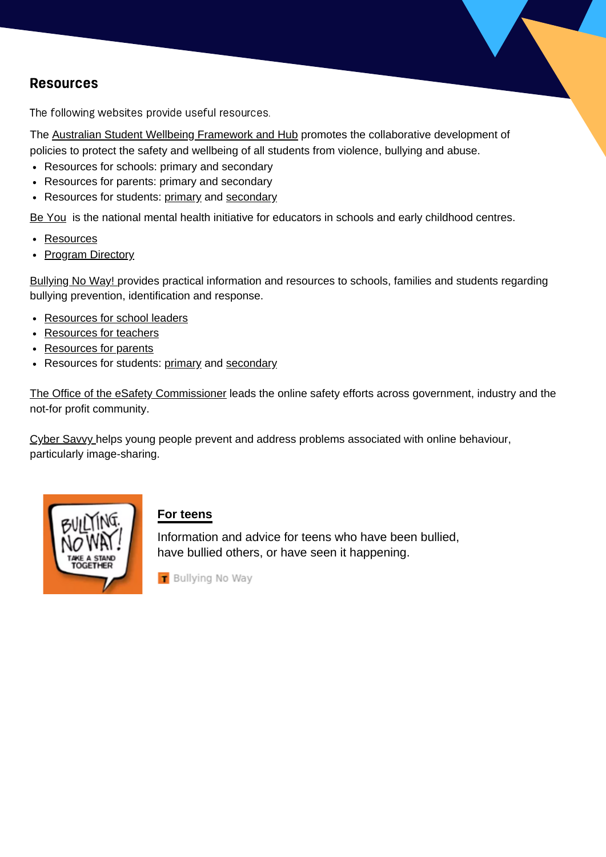# Resources

The following websites provide useful resources.

The Australian Student Wellbeing [Framework](https://studentwellbeinghub.edu.au/) and Hub promotes the collaborative development of policies to protect the safety and wellbeing of all students from violence, bullying and abuse.

- Resources for schools: primary and secondary
- Resources for parents: primary and secondary
- Resources for students: [primary](https://studentwellbeinghub.edu.au/students#step-2-primary) and [secondary](https://studentwellbeinghub.edu.au/students#step-2-secondary)

Be [You](https://beyou.edu.au/) is the national mental health initiative for educators in schools and early childhood centres.

- [Resources](https://beyou.edu.au/resources)
- Program [Directory](https://beyou.edu.au/resources/programs-directory)

[Bullying](https://bullyingnoway.gov.au/) No Way! provides practical information and resources to schools, families and students regarding bullying prevention, identification and response.

- [Resources](https://bullyingnoway.gov.au/YourRole/Pages/For-School-leaders.aspx) for school leaders
- [Resources](https://bullyingnoway.gov.au/TeachingAboutBullying) for teachers
- [Resources](https://bullyingnoway.gov.au/RespondingToBullying/Parents) for parents
- Resources for students: [primary](https://bullyingnoway.gov.au/forkids) and [secondary](https://bullyingnoway.gov.au/YourRole/ForTeens/Pages/default.aspx)

The Office of the eSafety [Commissioner](https://www.esafety.gov.au/) leads the online safety efforts across government, industry and the not-for profit community.

Cyber [Savvy](https://cybersavvy.telethonkids.org.au/) helps young people prevent and address problems associated with online behaviour, particularly image-sharing.



#### **For [teens](https://bullyingnoway.gov.au/Resources/FactSheets/Pages/For-students.aspx)**

Information and advice for teens who have been bullied, have bullied others, or have seen it happening.

Bullying No Way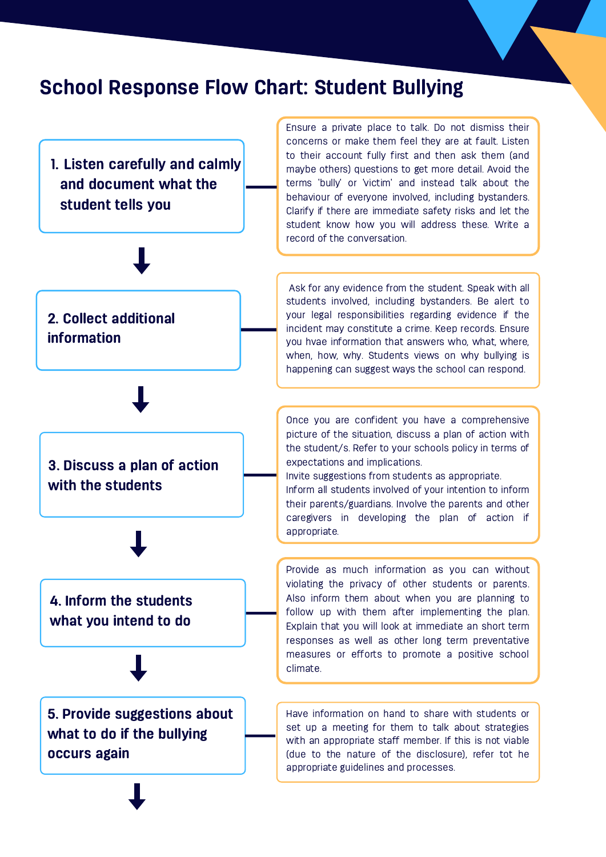# School Response Flow Chart: Student Bullying